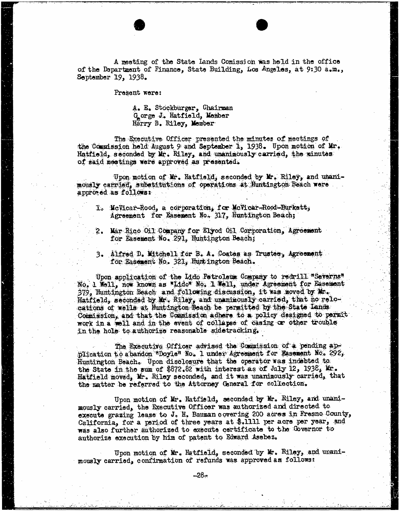A meeting of the State Lands Comission was held in the office of the Department of Finance, State Building, Los Angeles, at 9:30 a.m., September 19, 1938.

Present were:

A. E. Stockburger, Chairman Gorge J. Hatfield, Member Harry B. Riley, Member

The Executive Officer presented the minutes of meetings of the Commission held August 9 and September 1, 1938. Upon motion of Mr. Hatfield, seconded by Mr. Riley, and unanimously carried, the minutes of said meetings were approved as presented.

Upon motion of Mr. Hatfield, seconded by Mr. Riley, and unanimously carried, substitutions of operations at Huntington Beach were approved as follows:

- I. McVicar-Rood, a corporation, for MeVicar-Rood-Burkett, Agreement for Easement No, 317, Huntington Beach;
- 2. Mar Rico Oil Company for Elyod Oil Corporation, Agreement for Basement No. 291, Huntington Beach;
- 3. Alfred D. Mitchell for B. A. Coates as Trustee, Agreement for Easement No. 321, Huntington Beach.

Upon application of the Lido Petroleum Company to redrill "Severns"<br>No. 1 Well, now known as "Lido" No. 1 Well, under Agreement for Basement<br>379, Huntington Beach and following discussion, it was moved by Mr.  $379$ , Huntington Beach and following discussion, it was moved by Mr. Hatfield, seconded by Mr. Riley, and unanimously carried, that no relocations of wells at Huntington Beach be permitted by the State Lands.<br>Commission, and that the Commission adhere to a policy designed to permit Commission, and that the commission addenia of policy designed to permit work in a well and in the event of collapse of casing or other trouble in the hole to authorize reasonable sidetracking.

The Executive Officer advised the Commission of a pending ap-<br>plication to abandon "Doyle" No. 1 under Agreement for Easement No. 292, Huntington Beach. Upon disclosure that the operator was indebted to. the State in the sum of \$872.82 with interest as of July 12, 1938, Mr. the State in the sum of \$872.82 with interest as of July 12, 1938, Kr. 1938, Kr. 1938, Kr. 1938, Kr. 1938, Kr. Hatfield moved, Mr. Riley seconded, and it was unanimously carried, that the matter be referred to the Attorney General for collection.

Upon motion of Mr. Hatfield, seconded by Mr. Riley, and under mously carried, the Executive Officer was authorized and directed execute grazing lease to  $v_{\rm s}$  is bauman covering 200 acres in Fredric County California, for a period of three years at \$.111 per acre per year, was also further authorized to execute certificate to the Governor to authorize execution by him of patent to Edward Asebes.

Upon motion of  $\text{Mr}_{\text{e}}$  Hatfield, seconded by  $\text{Mr}_{\text{e}}$  Riley, and unanimously carried, confirmation of refunds was approved as follows: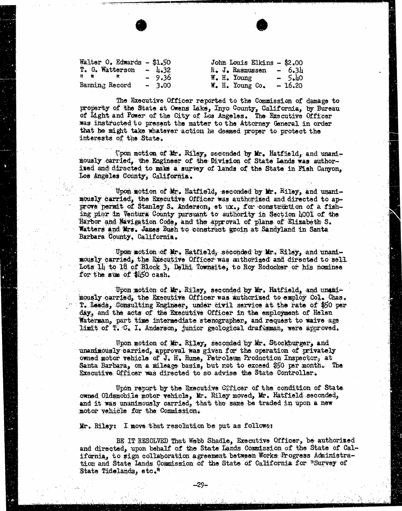| Walter $0$ . Edwards - \$1.50 |         | John Louis Elkins - \$2.00      |          |
|-------------------------------|---------|---------------------------------|----------|
| T. G. Watterson - $\mu$ .32   |         | $\hat{R}$ . J. Rasmussen - 6.34 |          |
| $\mathbf{R}$ and $\mathbf{R}$ | $-9.36$ | $W_{\bullet}$ H. Young          | $-5.40$  |
| Banning Record                | $-3.00$ | W. H. Young Co.                 | $-16.20$ |

The Executive Officer reported to the Commission of damage to property of the State at Owens Lake, Inyo County, California, by Bureau of Light and Power of the City of Los Angeles. . The Executive Officer was instructed to present the matter to the Attorney General in order that he might take whatever action he deemed proper to protect the interests of the State.

Upon motion of Mr. Riley, socended by Mr. Hatfield, and unand- mously carried, the Engineer of the Division of State Lands was authorised and directed to make a survey of lands of the State in Fish Canyon, Los Angeles County, California.

Upon motion of Mr. Hatfield, seconded by Mr. Riley, and unani-<br>mously carried, the Executive Officer was authorized and directed to approve permit of Stanley S. Anderson, et ux., for construction of a fishing pier in Ventura County pursuant to authority in Section 4001 of the Harbor and Navigation Code, and the approval of plans of Elizabeth S. Watters and Mrs. James Bush to construct groin at Sandyland in Santa Barbara County, California.

Upon motion of Mr. Hatfield; seconded by Mr. Riley, and unani- mously carried, the Executive Officer was authorized and directed to sell Lots 14, to 18 of Block 3, Delhi Townsite, to Roy Rodocker or his nominee for the sum of \$450 cash.

Upon motion of Mr. Riley, seconded by Mr. Hatfield, and unani-<br>mously carried, the Executive Officer was authorized to employ Col. Chas.<br>T. Leeds, Consulting Engineer, under civil service at the rate of \$50 per day, and the acts of the Executive Officer in the employment of Helen Materman, part time intermediate stenographer, and request to waive age limit of T. C. I. Anderson, junior geological draftsman, were approved.

Upon motion of Mr. Riley, seconded by Mr. Stockburger, and unanimously carried, approval was given for the operation of privately owned motor vehicle of J. H. Hume, Petroleum Production Inspector, at Santa Barbara, on a mileage basis, but not to exceed \$50 per month. The Executive Officer was directed to so advise the State Controller.

Upon report by the Executive Cificer of the condition of State owned Oldsmobile motor vehicle, Mr. Riley moved, Mr. Hatfield seconded, and it was unanimously carried, that the same be traded in upon a new motor vehicle for the Commission.

Mr. Riley: I move that resolution be put as follows:

BE IT RESOLVED That Webb Shadle, Executive Officer, be authorized and directed, upon behalf of the State Lands Commission of the State of California, to sign collaboration agreement between Works Progress Administration and State Lands Commission of the State of California for "Survey of State Tidelands, etc."